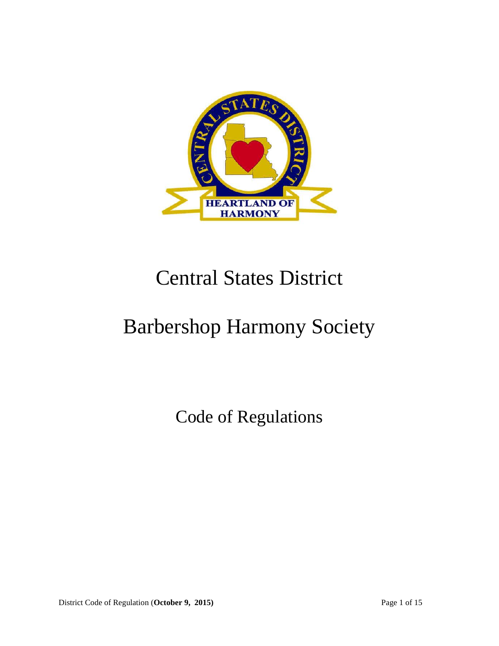

# Central States District

# Barbershop Harmony Society

Code of Regulations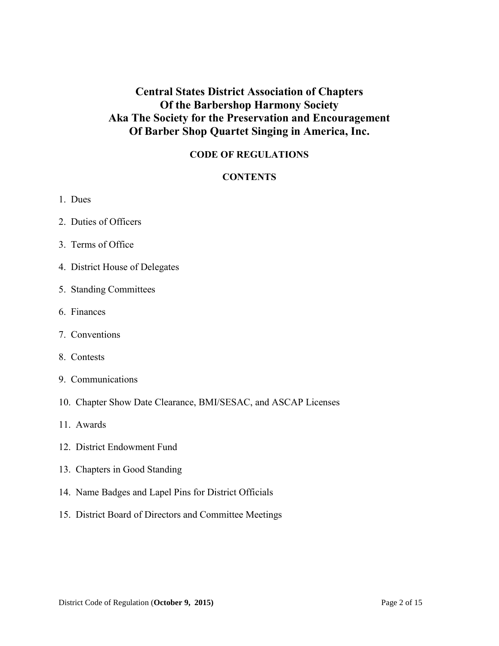# **Central States District Association of Chapters Of the Barbershop Harmony Society Aka The Society for the Preservation and Encouragement Of Barber Shop Quartet Singing in America, Inc.**

### **CODE OF REGULATIONS**

#### **CONTENTS**

- 1. Dues
- 2. Duties of Officers
- 3. Terms of Office
- 4. District House of Delegates
- 5. Standing Committees
- 6. Finances
- 7. Conventions
- 8. Contests
- 9. Communications
- 10. Chapter Show Date Clearance, BMI/SESAC, and ASCAP Licenses
- 11. Awards
- 12. District Endowment Fund
- 13. Chapters in Good Standing
- 14. Name Badges and Lapel Pins for District Officials
- 15. District Board of Directors and Committee Meetings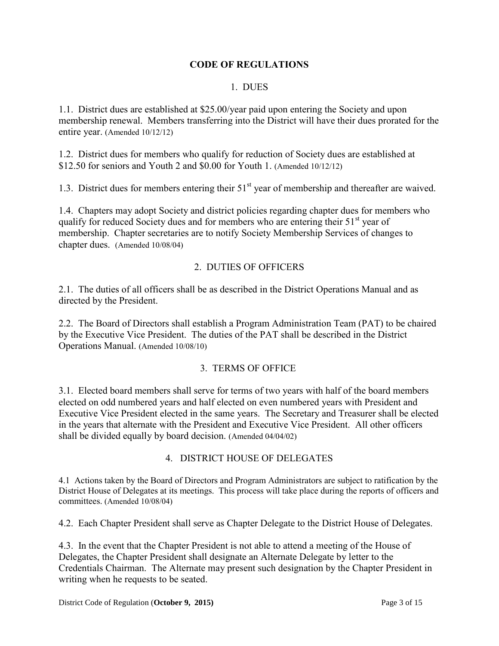#### **CODE OF REGULATIONS**

#### 1. DUES

1.1. District dues are established at \$25.00/year paid upon entering the Society and upon membership renewal. Members transferring into the District will have their dues prorated for the entire year. (Amended 10/12/12)

1.2. District dues for members who qualify for reduction of Society dues are established at \$12.50 for seniors and Youth 2 and \$0.00 for Youth 1. (Amended 10/12/12)

1.3. District dues for members entering their 51<sup>st</sup> year of membership and thereafter are waived.

1.4. Chapters may adopt Society and district policies regarding chapter dues for members who qualify for reduced Society dues and for members who are entering their  $51<sup>st</sup>$  year of membership. Chapter secretaries are to notify Society Membership Services of changes to chapter dues. (Amended 10/08/04)

#### 2. DUTIES OF OFFICERS

2.1. The duties of all officers shall be as described in the District Operations Manual and as directed by the President.

2.2. The Board of Directors shall establish a Program Administration Team (PAT) to be chaired by the Executive Vice President. The duties of the PAT shall be described in the District Operations Manual. (Amended 10/08/10)

#### 3. TERMS OF OFFICE

3.1. Elected board members shall serve for terms of two years with half of the board members elected on odd numbered years and half elected on even numbered years with President and Executive Vice President elected in the same years. The Secretary and Treasurer shall be elected in the years that alternate with the President and Executive Vice President. All other officers shall be divided equally by board decision. (Amended 04/04/02)

#### 4. DISTRICT HOUSE OF DELEGATES

4.1 Actions taken by the Board of Directors and Program Administrators are subject to ratification by the District House of Delegates at its meetings. This process will take place during the reports of officers and committees. (Amended 10/08/04)

4.2. Each Chapter President shall serve as Chapter Delegate to the District House of Delegates.

4.3. In the event that the Chapter President is not able to attend a meeting of the House of Delegates, the Chapter President shall designate an Alternate Delegate by letter to the Credentials Chairman. The Alternate may present such designation by the Chapter President in writing when he requests to be seated.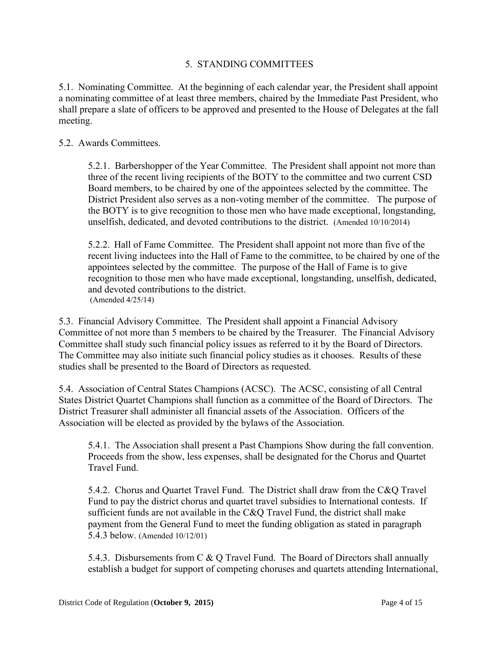#### 5. STANDING COMMITTEES

5.1. Nominating Committee. At the beginning of each calendar year, the President shall appoint a nominating committee of at least three members, chaired by the Immediate Past President, who shall prepare a slate of officers to be approved and presented to the House of Delegates at the fall meeting.

#### 5.2. Awards Committees.

5.2.1. Barbershopper of the Year Committee. The President shall appoint not more than three of the recent living recipients of the BOTY to the committee and two current CSD Board members, to be chaired by one of the appointees selected by the committee. The District President also serves as a non-voting member of the committee. The purpose of the BOTY is to give recognition to those men who have made exceptional, longstanding, unselfish, dedicated, and devoted contributions to the district. (Amended 10/10/2014)

5.2.2. Hall of Fame Committee. The President shall appoint not more than five of the recent living inductees into the Hall of Fame to the committee, to be chaired by one of the appointees selected by the committee. The purpose of the Hall of Fame is to give recognition to those men who have made exceptional, longstanding, unselfish, dedicated, and devoted contributions to the district. (Amended 4/25/14)

5.3. Financial Advisory Committee. The President shall appoint a Financial Advisory Committee of not more than 5 members to be chaired by the Treasurer. The Financial Advisory Committee shall study such financial policy issues as referred to it by the Board of Directors. The Committee may also initiate such financial policy studies as it chooses. Results of these studies shall be presented to the Board of Directors as requested.

5.4. Association of Central States Champions (ACSC). The ACSC, consisting of all Central States District Quartet Champions shall function as a committee of the Board of Directors. The District Treasurer shall administer all financial assets of the Association. Officers of the Association will be elected as provided by the bylaws of the Association.

5.4.1. The Association shall present a Past Champions Show during the fall convention. Proceeds from the show, less expenses, shall be designated for the Chorus and Quartet Travel Fund.

5.4.2. Chorus and Quartet Travel Fund. The District shall draw from the C&Q Travel Fund to pay the district chorus and quartet travel subsidies to International contests. If sufficient funds are not available in the C&Q Travel Fund, the district shall make payment from the General Fund to meet the funding obligation as stated in paragraph 5.4.3 below. (Amended 10/12/01)

5.4.3. Disbursements from C & Q Travel Fund. The Board of Directors shall annually establish a budget for support of competing choruses and quartets attending International,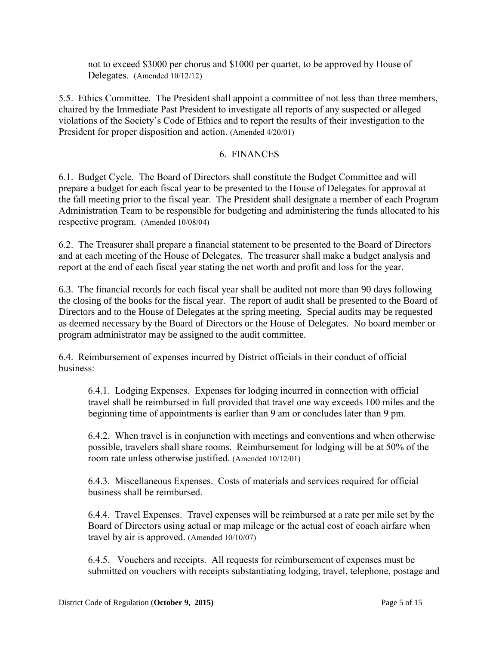not to exceed \$3000 per chorus and \$1000 per quartet, to be approved by House of Delegates. (Amended 10/12/12)

5.5. Ethics Committee. The President shall appoint a committee of not less than three members, chaired by the Immediate Past President to investigate all reports of any suspected or alleged violations of the Society's Code of Ethics and to report the results of their investigation to the President for proper disposition and action. (Amended 4/20/01)

#### 6. FINANCES

6.1. Budget Cycle. The Board of Directors shall constitute the Budget Committee and will prepare a budget for each fiscal year to be presented to the House of Delegates for approval at the fall meeting prior to the fiscal year. The President shall designate a member of each Program Administration Team to be responsible for budgeting and administering the funds allocated to his respective program. (Amended 10/08/04)

6.2. The Treasurer shall prepare a financial statement to be presented to the Board of Directors and at each meeting of the House of Delegates. The treasurer shall make a budget analysis and report at the end of each fiscal year stating the net worth and profit and loss for the year.

6.3. The financial records for each fiscal year shall be audited not more than 90 days following the closing of the books for the fiscal year. The report of audit shall be presented to the Board of Directors and to the House of Delegates at the spring meeting. Special audits may be requested as deemed necessary by the Board of Directors or the House of Delegates. No board member or program administrator may be assigned to the audit committee.

6.4. Reimbursement of expenses incurred by District officials in their conduct of official business:

6.4.1. Lodging Expenses. Expenses for lodging incurred in connection with official travel shall be reimbursed in full provided that travel one way exceeds 100 miles and the beginning time of appointments is earlier than 9 am or concludes later than 9 pm.

6.4.2. When travel is in conjunction with meetings and conventions and when otherwise possible, travelers shall share rooms. Reimbursement for lodging will be at 50% of the room rate unless otherwise justified. (Amended 10/12/01)

6.4.3. Miscellaneous Expenses. Costs of materials and services required for official business shall be reimbursed.

6.4.4. Travel Expenses. Travel expenses will be reimbursed at a rate per mile set by the Board of Directors using actual or map mileage or the actual cost of coach airfare when travel by air is approved. (Amended 10/10/07)

6.4.5. Vouchers and receipts. All requests for reimbursement of expenses must be submitted on vouchers with receipts substantiating lodging, travel, telephone, postage and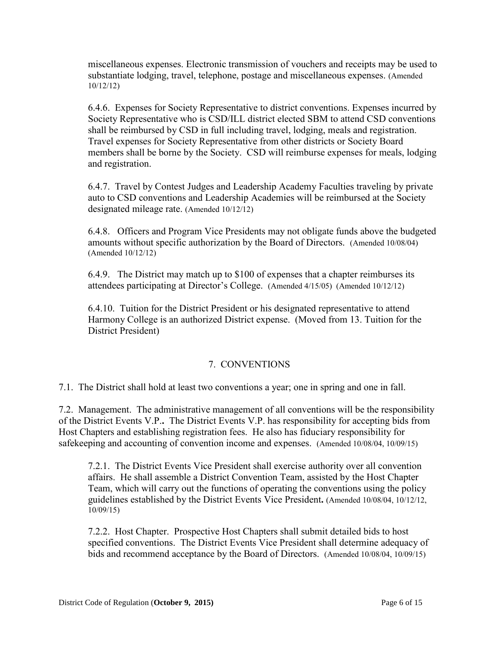miscellaneous expenses. Electronic transmission of vouchers and receipts may be used to substantiate lodging, travel, telephone, postage and miscellaneous expenses. (Amended 10/12/12)

6.4.6. Expenses for Society Representative to district conventions. Expenses incurred by Society Representative who is CSD/ILL district elected SBM to attend CSD conventions shall be reimbursed by CSD in full including travel, lodging, meals and registration. Travel expenses for Society Representative from other districts or Society Board members shall be borne by the Society. CSD will reimburse expenses for meals, lodging and registration.

6.4.7. Travel by Contest Judges and Leadership Academy Faculties traveling by private auto to CSD conventions and Leadership Academies will be reimbursed at the Society designated mileage rate. (Amended 10/12/12)

6.4.8. Officers and Program Vice Presidents may not obligate funds above the budgeted amounts without specific authorization by the Board of Directors. (Amended 10/08/04) (Amended 10/12/12)

6.4.9. The District may match up to \$100 of expenses that a chapter reimburses its attendees participating at Director's College. (Amended 4/15/05) (Amended 10/12/12)

6.4.10. Tuition for the District President or his designated representative to attend Harmony College is an authorized District expense. (Moved from 13. Tuition for the District President)

#### 7. CONVENTIONS

7.1. The District shall hold at least two conventions a year; one in spring and one in fall.

7.2. Management. The administrative management of all conventions will be the responsibility of the District Events V.P.**.** The District Events V.P. has responsibility for accepting bids from Host Chapters and establishing registration fees. He also has fiduciary responsibility for safekeeping and accounting of convention income and expenses. (Amended 10/08/04, 10/09/15)

7.2.1. The District Events Vice President shall exercise authority over all convention affairs. He shall assemble a District Convention Team, assisted by the Host Chapter Team, which will carry out the functions of operating the conventions using the policy guidelines established by the District Events Vice President**.** (Amended 10/08/04, 10/12/12, 10/09/15)

7.2.2. Host Chapter. Prospective Host Chapters shall submit detailed bids to host specified conventions. The District Events Vice President shall determine adequacy of bids and recommend acceptance by the Board of Directors. (Amended 10/08/04, 10/09/15)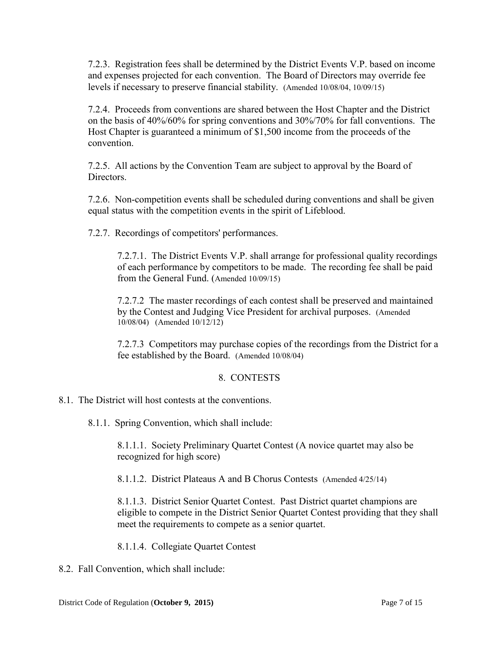7.2.3. Registration fees shall be determined by the District Events V.P. based on income and expenses projected for each convention. The Board of Directors may override fee levels if necessary to preserve financial stability. (Amended 10/08/04, 10/09/15)

7.2.4. Proceeds from conventions are shared between the Host Chapter and the District on the basis of 40%/60% for spring conventions and 30%/70% for fall conventions. The Host Chapter is guaranteed a minimum of \$1,500 income from the proceeds of the convention.

7.2.5. All actions by the Convention Team are subject to approval by the Board of **Directors** 

7.2.6. Non-competition events shall be scheduled during conventions and shall be given equal status with the competition events in the spirit of Lifeblood.

7.2.7. Recordings of competitors' performances.

7.2.7.1. The District Events V.P. shall arrange for professional quality recordings of each performance by competitors to be made. The recording fee shall be paid from the General Fund. (Amended 10/09/15)

7.2.7.2 The master recordings of each contest shall be preserved and maintained by the Contest and Judging Vice President for archival purposes. (Amended 10/08/04) (Amended 10/12/12)

7.2.7.3Competitors may purchase copies of the recordings from the District for a fee established by the Board. (Amended 10/08/04)

# 8. CONTESTS

- 8.1. The District will host contests at the conventions.
	- 8.1.1. Spring Convention, which shall include:

8.1.1.1. Society Preliminary Quartet Contest (A novice quartet may also be recognized for high score)

8.1.1.2. District Plateaus A and B Chorus Contests (Amended 4/25/14)

8.1.1.3. District Senior Quartet Contest. Past District quartet champions are eligible to compete in the District Senior Quartet Contest providing that they shall meet the requirements to compete as a senior quartet.

8.1.1.4. Collegiate Quartet Contest

8.2. Fall Convention, which shall include: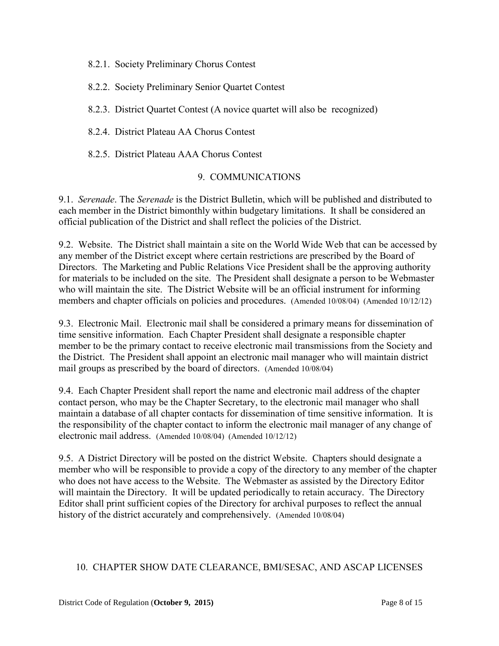8.2.1. Society Preliminary Chorus Contest

8.2.2. Society Preliminary Senior Quartet Contest

8.2.3. District Quartet Contest (A novice quartet will also be recognized)

8.2.4. District Plateau AA Chorus Contest

8.2.5. District Plateau AAA Chorus Contest

#### 9. COMMUNICATIONS

9.1. *Serenade*. The *Serenade* is the District Bulletin, which will be published and distributed to each member in the District bimonthly within budgetary limitations. It shall be considered an official publication of the District and shall reflect the policies of the District.

9.2. Website. The District shall maintain a site on the World Wide Web that can be accessed by any member of the District except where certain restrictions are prescribed by the Board of Directors. The Marketing and Public Relations Vice President shall be the approving authority for materials to be included on the site. The President shall designate a person to be Webmaster who will maintain the site. The District Website will be an official instrument for informing members and chapter officials on policies and procedures. (Amended 10/08/04) (Amended 10/12/12)

9.3. Electronic Mail. Electronic mail shall be considered a primary means for dissemination of time sensitive information. Each Chapter President shall designate a responsible chapter member to be the primary contact to receive electronic mail transmissions from the Society and the District. The President shall appoint an electronic mail manager who will maintain district mail groups as prescribed by the board of directors. (Amended 10/08/04)

9.4. Each Chapter President shall report the name and electronic mail address of the chapter contact person, who may be the Chapter Secretary, to the electronic mail manager who shall maintain a database of all chapter contacts for dissemination of time sensitive information. It is the responsibility of the chapter contact to inform the electronic mail manager of any change of electronic mail address. (Amended 10/08/04) (Amended 10/12/12)

9.5. A District Directory will be posted on the district Website. Chapters should designate a member who will be responsible to provide a copy of the directory to any member of the chapter who does not have access to the Website. The Webmaster as assisted by the Directory Editor will maintain the Directory. It will be updated periodically to retain accuracy. The Directory Editor shall print sufficient copies of the Directory for archival purposes to reflect the annual history of the district accurately and comprehensively. (Amended 10/08/04)

#### 10. CHAPTER SHOW DATE CLEARANCE, BMI/SESAC, AND ASCAP LICENSES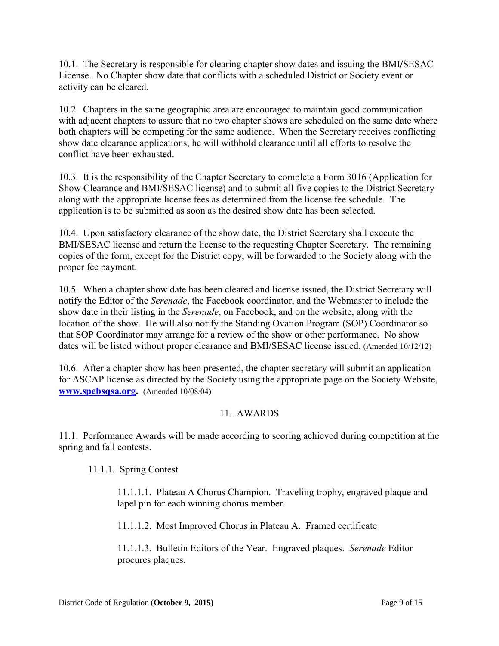10.1. The Secretary is responsible for clearing chapter show dates and issuing the BMI**/**SESAC License. No Chapter show date that conflicts with a scheduled District or Society event or activity can be cleared.

10.2. Chapters in the same geographic area are encouraged to maintain good communication with adjacent chapters to assure that no two chapter shows are scheduled on the same date where both chapters will be competing for the same audience. When the Secretary receives conflicting show date clearance applications, he will withhold clearance until all efforts to resolve the conflict have been exhausted.

10.3. It is the responsibility of the Chapter Secretary to complete a Form 3016 (Application for Show Clearance and BMI/SESAC license) and to submit all five copies to the District Secretary along with the appropriate license fees as determined from the license fee schedule. The application is to be submitted as soon as the desired show date has been selected.

10.4. Upon satisfactory clearance of the show date, the District Secretary shall execute the BMI/SESAC license and return the license to the requesting Chapter Secretary. The remaining copies of the form, except for the District copy, will be forwarded to the Society along with the proper fee payment.

10.5. When a chapter show date has been cleared and license issued, the District Secretary will notify the Editor of the *Serenade*, the Facebook coordinator, and the Webmaster to include the show date in their listing in the *Serenade*, on Facebook, and on the website, along with the location of the show. He will also notify the Standing Ovation Program (SOP) Coordinator so that SOP Coordinator may arrange for a review of the show or other performance. No show dates will be listed without proper clearance and BMI**/**SESAC license issued. (Amended 10/12/12)

10.6. After a chapter show has been presented, the chapter secretary will submit an application for ASCAP license as directed by the Society using the appropriate page on the Society Website, **[www.spebsqsa.org.](http://www.spebsqsa.org/)** (Amended 10/08/04)

# 11. AWARDS

11.1. Performance Awards will be made according to scoring achieved during competition at the spring and fall contests.

11.1.1. Spring Contest

11.1.1.1. Plateau A Chorus Champion. Traveling trophy, engraved plaque and lapel pin for each winning chorus member.

11.1.1.2. Most Improved Chorus in Plateau A. Framed certificate

11.1.1.3. Bulletin Editors of the Year. Engraved plaques. *Serenade* Editor procures plaques.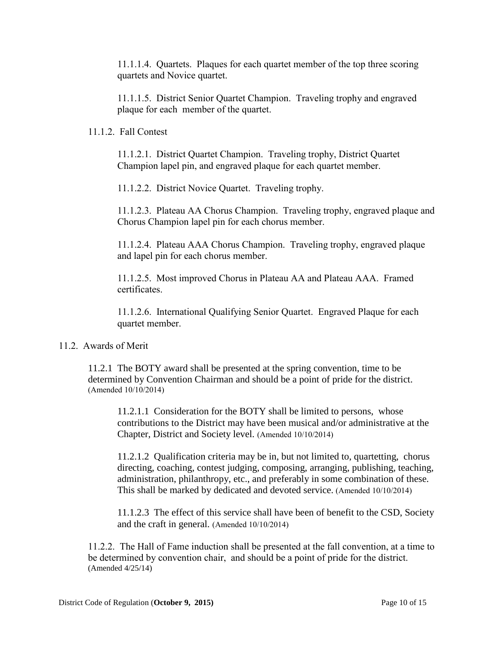11.1.1.4. Quartets. Plaques for each quartet member of the top three scoring quartets and Novice quartet.

11.1.1.5. District Senior Quartet Champion. Traveling trophy and engraved plaque for each member of the quartet.

#### 11.1.2. Fall Contest

11.1.2.1. District Quartet Champion. Traveling trophy, District Quartet Champion lapel pin, and engraved plaque for each quartet member.

11.1.2.2. District Novice Quartet. Traveling trophy.

11.1.2.3. Plateau AA Chorus Champion. Traveling trophy, engraved plaque and Chorus Champion lapel pin for each chorus member.

11.1.2.4. Plateau AAA Chorus Champion. Traveling trophy, engraved plaque and lapel pin for each chorus member.

11.1.2.5. Most improved Chorus in Plateau AA and Plateau AAA. Framed certificates.

11.1.2.6. International Qualifying Senior Quartet. Engraved Plaque for each quartet member.

#### 11.2. Awards of Merit

11.2.1 The BOTY award shall be presented at the spring convention, time to be determined by Convention Chairman and should be a point of pride for the district. (Amended 10/10/2014)

11.2.1.1 Consideration for the BOTY shall be limited to persons, whose contributions to the District may have been musical and/or administrative at the Chapter, District and Society level. (Amended 10/10/2014)

11.2.1.2 Qualification criteria may be in, but not limited to, quartetting, chorus directing, coaching, contest judging, composing, arranging, publishing, teaching, administration, philanthropy, etc., and preferably in some combination of these. This shall be marked by dedicated and devoted service. (Amended 10/10/2014)

11.1.2.3 The effect of this service shall have been of benefit to the CSD, Society and the craft in general. (Amended 10/10/2014)

11.2.2. The Hall of Fame induction shall be presented at the fall convention, at a time to be determined by convention chair, and should be a point of pride for the district. (Amended 4/25/14)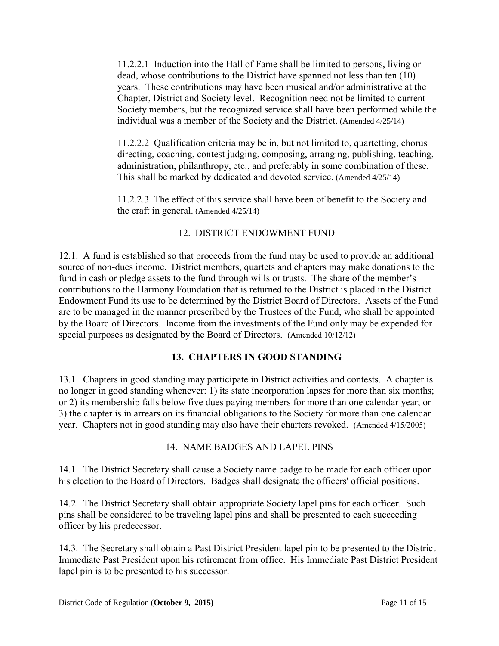11.2.2.1 Induction into the Hall of Fame shall be limited to persons, living or dead, whose contributions to the District have spanned not less than ten (10) years. These contributions may have been musical and/or administrative at the Chapter, District and Society level. Recognition need not be limited to current Society members, but the recognized service shall have been performed while the individual was a member of the Society and the District. (Amended 4/25/14)

11.2.2.2 Qualification criteria may be in, but not limited to, quartetting, chorus directing, coaching, contest judging, composing, arranging, publishing, teaching, administration, philanthropy, etc., and preferably in some combination of these. This shall be marked by dedicated and devoted service. (Amended 4/25/14)

11.2.2.3 The effect of this service shall have been of benefit to the Society and the craft in general. (Amended 4/25/14)

# 12. DISTRICT ENDOWMENT FUND

12.1. A fund is established so that proceeds from the fund may be used to provide an additional source of non-dues income. District members, quartets and chapters may make donations to the fund in cash or pledge assets to the fund through wills or trusts. The share of the member's contributions to the Harmony Foundation that is returned to the District is placed in the District Endowment Fund its use to be determined by the District Board of Directors.Assets of the Fund are to be managed in the manner prescribed by the Trustees of the Fund, who shall be appointed by the Board of Directors. Income from the investments of the Fund only may be expended for special purposes as designated by the Board of Directors. (Amended 10/12/12)

# **13. CHAPTERS IN GOOD STANDING**

13.1. Chapters in good standing may participate in District activities and contests. A chapter is no longer in good standing whenever: 1) its state incorporation lapses for more than six months; or 2) its membership falls below five dues paying members for more than one calendar year; or 3) the chapter is in arrears on its financial obligations to the Society for more than one calendar year. Chapters not in good standing may also have their charters revoked. (Amended 4/15/2005)

# 14. NAME BADGES AND LAPEL PINS

14.1. The District Secretary shall cause a Society name badge to be made for each officer upon his election to the Board of Directors. Badges shall designate the officers' official positions.

14.2. The District Secretary shall obtain appropriate Society lapel pins for each officer. Such pins shall be considered to be traveling lapel pins and shall be presented to each succeeding officer by his predecessor.

14.3. The Secretary shall obtain a Past District President lapel pin to be presented to the District Immediate Past President upon his retirement from office. His Immediate Past District President lapel pin is to be presented to his successor.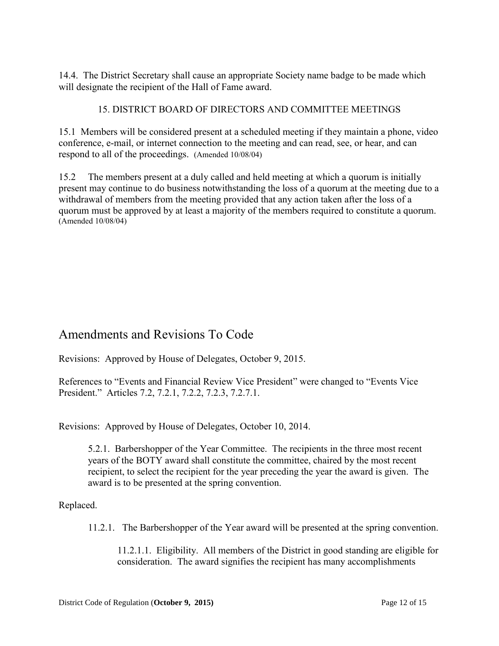14.4. The District Secretary shall cause an appropriate Society name badge to be made which will designate the recipient of the Hall of Fame award.

#### 15. DISTRICT BOARD OF DIRECTORS AND COMMITTEE MEETINGS

15.1 Members will be considered present at a scheduled meeting if they maintain a phone, video conference, e-mail, or internet connection to the meeting and can read, see, or hear, and can respond to all of the proceedings.(Amended 10/08/04)

15.2 The members present at a duly called and held meeting at which a quorum is initially present may continue to do business notwithstanding the loss of a quorum at the meeting due to a withdrawal of members from the meeting provided that any action taken after the loss of a quorum must be approved by at least a majority of the members required to constitute a quorum. (Amended 10/08/04)

# Amendments and Revisions To Code

Revisions: Approved by House of Delegates, October 9, 2015.

References to "Events and Financial Review Vice President" were changed to "Events Vice President." Articles 7.2, 7.2.1, 7.2.2, 7.2.3, 7.2.7.1.

Revisions: Approved by House of Delegates, October 10, 2014.

5.2.1. Barbershopper of the Year Committee. The recipients in the three most recent years of the BOTY award shall constitute the committee, chaired by the most recent recipient, to select the recipient for the year preceding the year the award is given. The award is to be presented at the spring convention.

Replaced.

11.2.1. The Barbershopper of the Year award will be presented at the spring convention.

11.2.1.1. Eligibility. All members of the District in good standing are eligible for consideration. The award signifies the recipient has many accomplishments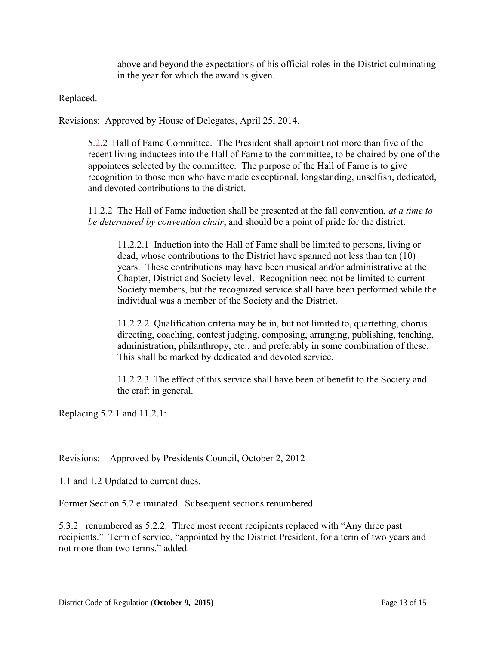above and beyond the expectations of his official roles in the District culminating in the year for which the award is given.

Replaced.

Revisions: Approved by House of Delegates, April 25, 2014.

5.2.2 Hall of Fame Committee. The President shall appoint not more than five of the recent living inductees into the Hall of Fame to the committee, to be chaired by one of the appointees selected by the committee. The purpose of the Hall of Fame is to give recognition to those men who have made exceptional, longstanding, unselfish, dedicated, and devoted contributions to the district.

11.2.2 The Hall of Fame induction shall be presented at the fall convention, *at a time to be determined by convention chair*, and should be a point of pride for the district.

11.2.2.1 Induction into the Hall of Fame shall be limited to persons, living or dead, whose contributions to the District have spanned not less than ten (10) years. These contributions may have been musical and/or administrative at the Chapter, District and Society level. Recognition need not be limited to current Society members, but the recognized service shall have been performed while the individual was a member of the Society and the District.

11.2.2.2 Qualification criteria may be in, but not limited to, quartetting, chorus directing, coaching, contest judging, composing, arranging, publishing, teaching, administration, philanthropy, etc., and preferably in some combination of these. This shall be marked by dedicated and devoted service.

11.2.2.3 The effect of this service shall have been of benefit to the Society and the craft in general.

Replacing 5.2.1 and 11.2.1:

Revisions: Approved by Presidents Council, October 2, 2012

1.1 and 1.2 Updated to current dues.

Former Section 5.2 eliminated. Subsequent sections renumbered.

5.3.2 renumbered as 5.2.2. Three most recent recipients replaced with "Any three past recipients." Term of service, "appointed by the District President, for a term of two years and not more than two terms." added.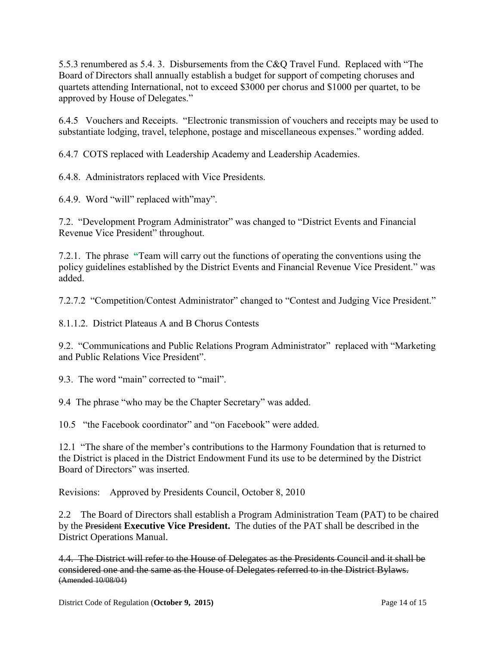5.5.3 renumbered as 5.4. 3. Disbursements from the C&Q Travel Fund. Replaced with "The Board of Directors shall annually establish a budget for support of competing choruses and quartets attending International, not to exceed \$3000 per chorus and \$1000 per quartet, to be approved by House of Delegates."

6.4.5 Vouchers and Receipts. "Electronic transmission of vouchers and receipts may be used to substantiate lodging, travel, telephone, postage and miscellaneous expenses." wording added.

6.4.7 COTS replaced with Leadership Academy and Leadership Academies.

6.4.8. Administrators replaced with Vice Presidents.

6.4.9. Word "will" replaced with"may".

7.2. "Development Program Administrator" was changed to "District Events and Financial Revenue Vice President" throughout.

7.2.1. The phrase **"**Team will carry out the functions of operating the conventions using the policy guidelines established by the District Events and Financial Revenue Vice President." was added.

7.2.7.2 "Competition/Contest Administrator" changed to "Contest and Judging Vice President."

8.1.1.2. District Plateaus A and B Chorus Contests

9.2. "Communications and Public Relations Program Administrator" replaced with "Marketing and Public Relations Vice President".

9.3. The word "main" corrected to "mail".

9.4 The phrase "who may be the Chapter Secretary" was added.

10.5 "the Facebook coordinator" and "on Facebook" were added.

12.1 "The share of the member's contributions to the Harmony Foundation that is returned to the District is placed in the District Endowment Fund its use to be determined by the District Board of Directors" was inserted.

Revisions: Approved by Presidents Council, October 8, 2010

2.2 The Board of Directors shall establish a Program Administration Team (PAT) to be chaired by the President **Executive Vice President.** The duties of the PAT shall be described in the District Operations Manual.

4.4. The District will refer to the House of Delegates as the Presidents Council and it shall be considered one and the same as the House of Delegates referred to in the District Bylaws. (Amended 10/08/04)